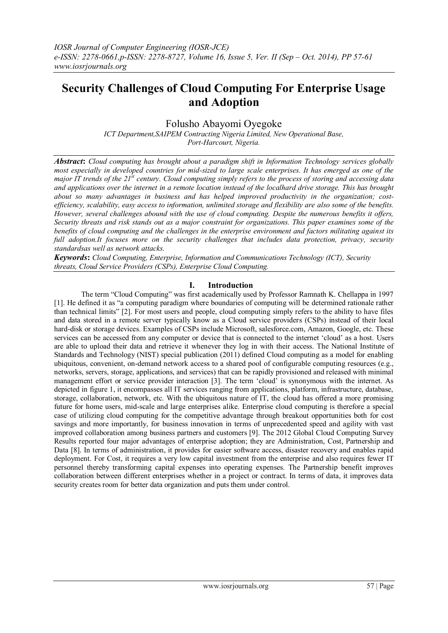# **Security Challenges of Cloud Computing For Enterprise Usage and Adoption**

# Folusho Abayomi Oyegoke

*ICT Department,SAIPEM Contracting Nigeria Limited, New Operational Base, Port-Harcourt, Nigeria.*

*Abstract***:** *Cloud computing has brought about a paradigm shift in Information Technology services globally most especially in developed countries for mid-sized to large scale enterprises. It has emerged as one of the major IT trends of the 21st century. Cloud computing simply refers to the process of storing and accessing data and applications over the internet in a remote location instead of the localhard drive storage. This has brought about so many advantages in business and has helped improved productivity in the organization; costefficiency, scalability, easy access to information, unlimited storage and flexibility are also some of the benefits. However, several challenges abound with the use of cloud computing. Despite the numerous benefits it offers, Security threats and risk stands out as a major constraint for organizations. This paper examines some of the benefits of cloud computing and the challenges in the enterprise environment and factors militating against its full adoption.It focuses more on the security challenges that includes data protection, privacy, security standardsas well as network attacks.*

*Keywords***:** *Cloud Computing, Enterprise, Information and Communications Technology (ICT), Security threats, Cloud Service Providers (CSPs), Enterprise Cloud Computing.*

#### **I. Introduction**

The term "Cloud Computing" was first academically used by Professor Ramnath K. Chellappa in 1997 [1]. He defined it as "a computing paradigm where boundaries of computing will be determined rationale rather than technical limits" [2]. For most users and people, cloud computing simply refers to the ability to have files and data stored in a remote server typically know as a Cloud service providers (CSPs) instead of their local hard-disk or storage devices. Examples of CSPs include Microsoft, salesforce.com, Amazon, Google, etc. These services can be accessed from any computer or device that is connected to the internet "cloud" as a host. Users are able to upload their data and retrieve it whenever they log in with their access. The National Institute of Standards and Technology (NIST) special publication (2011) defined Cloud computing as a model for enabling ubiquitous, convenient, on-demand network access to a shared pool of configurable computing resources (e.g., networks, servers, storage, applications, and services) that can be rapidly provisioned and released with minimal management effort or service provider interaction [3]. The term "cloud" is synonymous with the internet. As depicted in figure 1, it encompasses all IT services ranging from applications, platform, infrastructure, database, storage, collaboration, network, etc. With the ubiquitous nature of IT, the cloud has offered a more promising future for home users, mid-scale and large enterprises alike. Enterprise cloud computing is therefore a special case of utilizing cloud computing for the competitive advantage through breakout opportunities both for cost savings and more importantly, for business innovation in terms of unprecedented speed and agility with vast improved collaboration among business partners and customers [9]. The 2012 Global Cloud Computing Survey Results reported four major advantages of enterprise adoption; they are Administration, Cost, Partnership and Data [8]. In terms of administration, it provides for easier software access, disaster recovery and enables rapid deployment. For Cost, it requires a very low capital investment from the enterprise and also requires fewer IT personnel thereby transforming capital expenses into operating expenses. The Partnership benefit improves collaboration between different enterprises whether in a project or contract. In terms of data, it improves data security creates room for better data organization and puts them under control.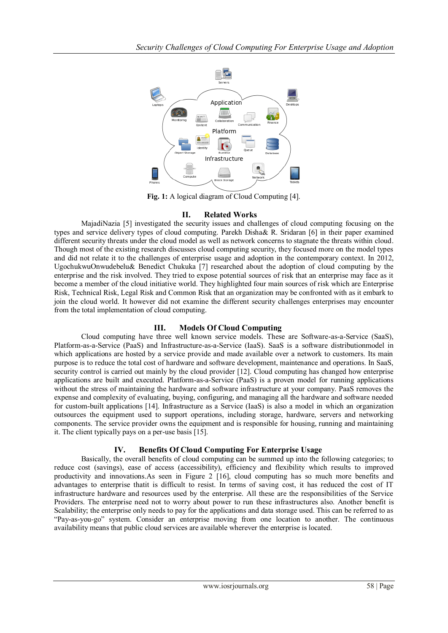

**Fig. 1:** A logical diagram of Cloud Computing [4].

#### **II. Related Works**

MajadiNazia [5] investigated the security issues and challenges of cloud computing focusing on the types and service delivery types of cloud computing. Parekh Disha& R. Sridaran [6] in their paper examined different security threats under the cloud model as well as network concerns to stagnate the threats within cloud. Though most of the existing research discusses cloud computing security, they focused more on the model types and did not relate it to the challenges of enterprise usage and adoption in the contemporary context. In 2012, UgochukwuOnwudebelu& Benedict Chukuka [7] researched about the adoption of cloud computing by the enterprise and the risk involved. They tried to expose potential sources of risk that an enterprise may face as it become a member of the cloud initiative world. They highlighted four main sources of risk which are Enterprise Risk, Technical Risk, Legal Risk and Common Risk that an organization may be confronted with as it embark to join the cloud world. It however did not examine the different security challenges enterprises may encounter from the total implementation of cloud computing.

## **III. Models Of Cloud Computing**

Cloud computing have three well known service models. These are Software-as-a-Service (SaaS), Platform-as-a-Service (PaaS) and Infrastructure-as-a-Service (IaaS). SaaS is a software distributionmodel in which applications are hosted by a service provide and made available over a network to customers. Its main purpose is to reduce the total cost of hardware and software development, maintenance and operations. In SaaS, security control is carried out mainly by the cloud provider [12]. Cloud computing has changed how enterprise applications are built and executed. Platform-as-a-Service (PaaS) is a proven model for running applications without the stress of maintaining the hardware and software infrastructure at your company. PaaS removes the expense and complexity of evaluating, buying, configuring, and managing all the hardware and software needed for custom-built applications [14]. Infrastructure as a Service (IaaS) is also a model in which an organization outsources the equipment used to support operations, including storage, hardware, servers and networking components. The service provider owns the equipment and is responsible for housing, running and maintaining it. The client typically pays on a per-use basis [15].

## **IV. Benefits Of Cloud Computing For Enterprise Usage**

Basically, the overall benefits of cloud computing can be summed up into the following categories; to reduce cost (savings), ease of access (accessibility), efficiency and flexibility which results to improved productivity and innovations.As seen in Figure 2 [16], cloud computing has so much more benefits and advantages to enterprise thatit is difficult to resist. In terms of saving cost, it has reduced the cost of IT infrastructure hardware and resources used by the enterprise. All these are the responsibilities of the Service Providers. The enterprise need not to worry about power to run these infrastructures also. Another benefit is Scalability; the enterprise only needs to pay for the applications and data storage used. This can be referred to as "Pay-as-you-go" system. Consider an enterprise moving from one location to another. The continuous availability means that public cloud services are available wherever the enterprise is located.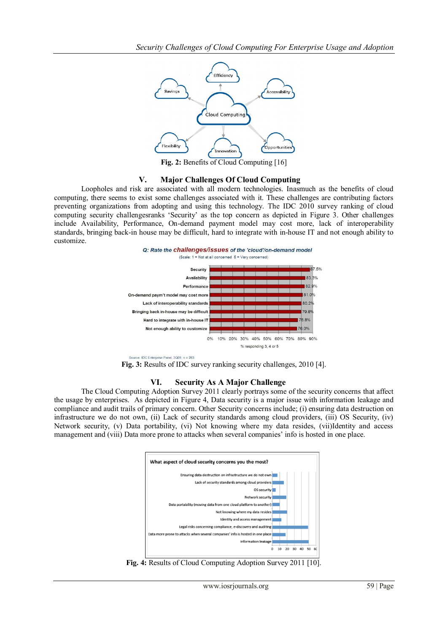

**Fig. 2:** Benefits of Cloud Computing [16]

#### **V. Major Challenges Of Cloud Computing**

Loopholes and risk are associated with all modern technologies. Inasmuch as the benefits of cloud computing, there seems to exist some challenges associated with it. These challenges are contributing factors preventing organizations from adopting and using this technology. The IDC 2010 survey ranking of cloud computing security challengesranks "Security" as the top concern as depicted in Figure 3. Other challenges include Availability, Performance, On-demand payment model may cost more, lack of interoperability standards, bringing back-in house may be difficult, hard to integrate with in-house IT and not enough ability to customize.





## **VI. Security As A Major Challenge**

The Cloud Computing Adoption Survey 2011 clearly portrays some of the security concerns that affect the usage by enterprises. As depicted in Figure 4, Data security is a major issue with information leakage and compliance and audit trails of primary concern. Other Security concerns include; (i) ensuring data destruction on infrastructure we do not own, (ii) Lack of security standards among cloud providers, (iii) OS Security, (iv) Network security, (v) Data portability, (vi) Not knowing where my data resides, (vii)Identity and access management and (viii) Data more prone to attacks when several companies" info is hosted in one place.



**Fig. 4:** Results of Cloud Computing Adoption Survey 2011 [10].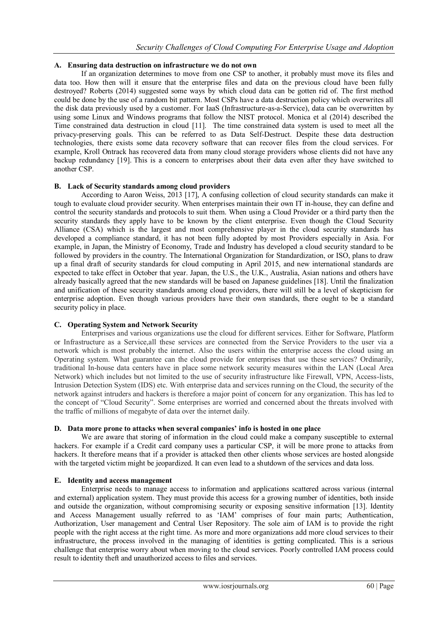#### **A. Ensuring data destruction on infrastructure we do not own**

If an organization determines to move from one CSP to another, it probably must move its files and data too. How then will it ensure that the enterprise files and data on the previous cloud have been fully destroyed? Roberts (2014) suggested some ways by which cloud data can be gotten rid of. The first method could be done by the use of a random bit pattern. Most CSPs have a data destruction policy which overwrites all the disk data previously used by a customer. For IaaS (Infrastructure-as-a-Service), data can be overwritten by using some Linux and Windows programs that follow the NIST protocol. Monica et al (2014) described the Time constrained data destruction in cloud [11]. The time constrained data system is used to meet all the privacy-preserving goals. This can be referred to as Data Self-Destruct. Despite these data destruction technologies, there exists some data recovery software that can recover files from the cloud services. For example, Kroll Ontrack has recovered data from many cloud storage providers whose clients did not have any backup redundancy [19]. This is a concern to enterprises about their data even after they have switched to another CSP.

#### **B. Lack of Security standards among cloud providers**

According to Aaron Weiss, 2013 [17], A confusing collection of cloud security standards can make it tough to evaluate cloud provider security. When enterprises maintain their own IT in-house, they can define and control the security standards and protocols to suit them. When using a Cloud Provider or a third party then the security standards they apply have to be known by the client enterprise. Even though the Cloud Security Alliance (CSA) which is the largest and most comprehensive player in the cloud security standards has developed a compliance standard, it has not been fully adopted by most Providers especially in Asia. For example, in Japan, the Ministry of Economy, Trade and Industry has developed a cloud security standard to be followed by providers in the country. The International Organization for Standardization, or ISO, plans to draw up a final draft of security standards for cloud computing in April 2015, and new international standards are expected to take effect in October that year. Japan, the U.S., the U.K., Australia, Asian nations and others have already basically agreed that the new standards will be based on Japanese guidelines [18]. Until the finalization and unification of these security standards among cloud providers, there will still be a level of skepticism for enterprise adoption. Even though various providers have their own standards, there ought to be a standard security policy in place.

#### **C. Operating System and Network Security**

Enterprises and various organizations use the cloud for different services. Either for Software, Platform or Infrastructure as a Service,all these services are connected from the Service Providers to the user via a network which is most probably the internet. Also the users within the enterprise access the cloud using an Operating system. What guarantee can the cloud provide for enterprises that use these services? Ordinarily, traditional In-house data centers have in place some network security measures within the LAN (Local Area Network) which includes but not limited to the use of security infrastructure like Firewall, VPN, Access-lists, Intrusion Detection System (IDS) etc. With enterprise data and services running on the Cloud, the security of the network against intruders and hackers is therefore a major point of concern for any organization. This has led to the concept of "Cloud Security". Some enterprises are worried and concerned about the threats involved with the traffic of millions of megabyte of data over the internet daily.

#### **D. Data more prone to attacks when several companies' info is hosted in one place**

We are aware that storing of information in the cloud could make a company susceptible to external hackers. For example if a Credit card company uses a particular CSP, it will be more prone to attacks from hackers. It therefore means that if a provider is attacked then other clients whose services are hosted alongside with the targeted victim might be jeopardized. It can even lead to a shutdown of the services and data loss.

#### **E. Identity and access management**

Enterprise needs to manage access to information and applications scattered across various (internal and external) application system. They must provide this access for a growing number of identities, both inside and outside the organization, without compromising security or exposing sensitive information [13]. Identity and Access Management usually referred to as "IAM" comprises of four main parts; Authentication, Authorization, User management and Central User Repository. The sole aim of IAM is to provide the right people with the right access at the right time. As more and more organizations add more cloud services to their infrastructure, the process involved in the managing of identities is getting complicated. This is a serious challenge that enterprise worry about when moving to the cloud services. Poorly controlled IAM process could result to identity theft and unauthorized access to files and services.